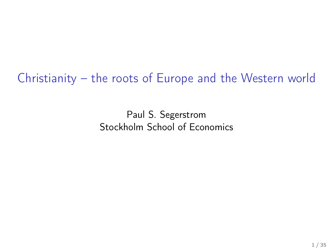Christianity – the roots of Europe and the Western world

Paul S. Segerstrom Stockholm School of Economics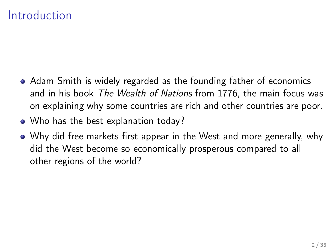### Introduction

- Adam Smith is widely regarded as the founding father of economics and in his book The Wealth of Nations from 1776, the main focus was on explaining why some countries are rich and other countries are poor.
- Who has the best explanation today?
- Why did free markets first appear in the West and more generally, why did the West become so economically prosperous compared to all other regions of the world?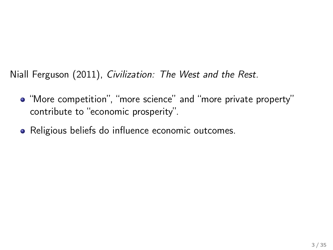Niall Ferguson (2011), Civilization: The West and the Rest.

- "More competition", "more science" and "more private property" contribute to "economic prosperity".
- Religious beliefs do influence economic outcomes.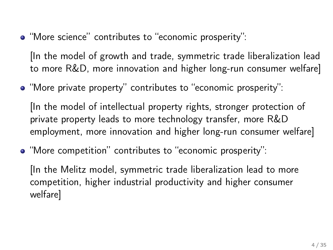"More science" contributes to "economic prosperity":

[In the model of growth and trade, symmetric trade liberalization lead to more R&D, more innovation and higher long-run consumer welfare]

"More private property" contributes to "economic prosperity":

[In the model of intellectual property rights, stronger protection of private property leads to more technology transfer, more R&D employment, more innovation and higher long-run consumer welfare]

"More competition" contributes to "economic prosperity":

[In the Melitz model, symmetric trade liberalization lead to more competition, higher industrial productivity and higher consumer welfare]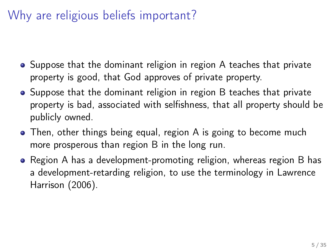### Why are religious beliefs important?

- Suppose that the dominant religion in region A teaches that private property is good, that God approves of private property.
- Suppose that the dominant religion in region B teaches that private property is bad, associated with selfishness, that all property should be publicly owned.
- Then, other things being equal, region A is going to become much more prosperous than region B in the long run.
- Region A has a development-promoting religion, whereas region B has a development-retarding religion, to use the terminology in Lawrence Harrison (2006).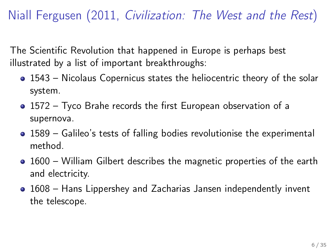Niall Fergusen (2011, Civilization: The West and the Rest)

The Scientific Revolution that happened in Europe is perhaps best illustrated by a list of important breakthroughs:

- 1543 Nicolaus Copernicus states the heliocentric theory of the solar system.
- 1572 Tyco Brahe records the first European observation of a supernova.
- 1589 Galileo's tests of falling bodies revolutionise the experimental method.
- 1600 William Gilbert describes the magnetic properties of the earth and electricity.
- 1608 Hans Lippershey and Zacharias Jansen independently invent the telescope.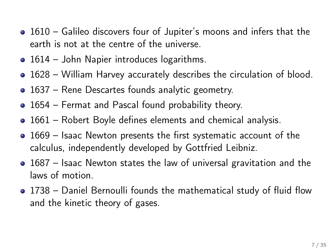- 1610 Galileo discovers four of Jupiter's moons and infers that the earth is not at the centre of the universe.
- 1614 John Napier introduces logarithms.
- 1628 William Harvey accurately describes the circulation of blood.
- 1637 Rene Descartes founds analytic geometry.
- 1654 Fermat and Pascal found probability theory.
- 1661 Robert Boyle defines elements and chemical analysis.
- 1669 Isaac Newton presents the first systematic account of the calculus, independently developed by Gottfried Leibniz.
- 1687 Isaac Newton states the law of universal gravitation and the laws of motion.
- 1738 Daniel Bernoulli founds the mathematical study of fluid flow and the kinetic theory of gases.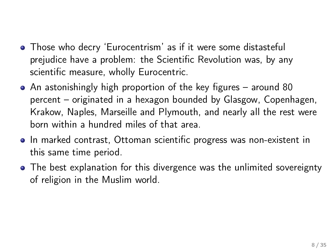- Those who decry 'Eurocentrism' as if it were some distasteful prejudice have a problem: the Scientific Revolution was, by any scientific measure, wholly Eurocentric.
- An astonishingly high proportion of the key figures around 80 percent – originated in a hexagon bounded by Glasgow, Copenhagen, Krakow, Naples, Marseille and Plymouth, and nearly all the rest were born within a hundred miles of that area.
- In marked contrast, Ottoman scientific progress was non-existent in this same time period.
- The best explanation for this divergence was the unlimited sovereignty of religion in the Muslim world.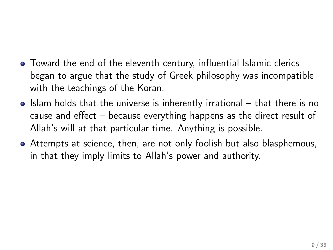- Toward the end of the eleventh century, influential Islamic clerics began to argue that the study of Greek philosophy was incompatible with the teachings of the Koran.
- Islam holds that the universe is inherently irrational that there is no cause and effect – because everything happens as the direct result of Allah's will at that particular time. Anything is possible.
- Attempts at science, then, are not only foolish but also blasphemous, in that they imply limits to Allah's power and authority.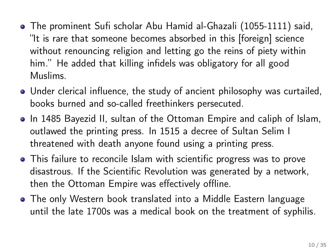- The prominent Sufi scholar Abu Hamid al-Ghazali (1055-1111) said, "It is rare that someone becomes absorbed in this [foreign] science without renouncing religion and letting go the reins of piety within him." He added that killing infidels was obligatory for all good Muslims.
- Under clerical influence, the study of ancient philosophy was curtailed, books burned and so-called freethinkers persecuted.
- In 1485 Bayezid II, sultan of the Ottoman Empire and caliph of Islam, outlawed the printing press. In 1515 a decree of Sultan Selim I threatened with death anyone found using a printing press.
- This failure to reconcile Islam with scientific progress was to prove disastrous. If the Scientific Revolution was generated by a network, then the Ottoman Empire was effectively offline.
- The only Western book translated into a Middle Eastern language until the late 1700s was a medical book on the treatment of syphilis.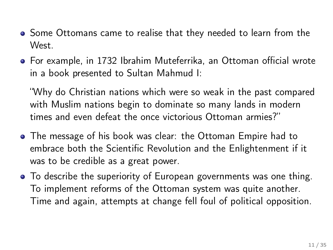- Some Ottomans came to realise that they needed to learn from the West.
- For example, in 1732 Ibrahim Muteferrika, an Ottoman official wrote in a book presented to Sultan Mahmud I:

"Why do Christian nations which were so weak in the past compared with Muslim nations begin to dominate so many lands in modern times and even defeat the once victorious Ottoman armies?"

- The message of his book was clear: the Ottoman Empire had to embrace both the Scientific Revolution and the Enlightenment if it was to be credible as a great power.
- To describe the superiority of European governments was one thing. To implement reforms of the Ottoman system was quite another. Time and again, attempts at change fell foul of political opposition.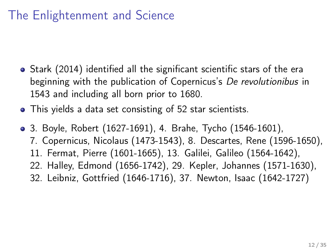## The Enlightenment and Science

- Stark (2014) identified all the significant scientific stars of the era beginning with the publication of Copernicus's De revolutionibus in 1543 and including all born prior to 1680.
- This yields a data set consisting of 52 star scientists.
- 3. Boyle, Robert (1627-1691), 4. Brahe, Tycho (1546-1601), 7. Copernicus, Nicolaus (1473-1543), 8. Descartes, Rene (1596-1650), 11. Fermat, Pierre (1601-1665), 13. Galilei, Galileo (1564-1642), 22. Halley, Edmond (1656-1742), 29. Kepler, Johannes (1571-1630), 32. Leibniz, Gottfried (1646-1716), 37. Newton, Isaac (1642-1727)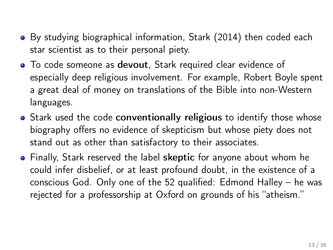- By studying biographical information, Stark (2014) then coded each star scientist as to their personal piety.
- To code someone as devout, Stark required clear evidence of especially deep religious involvement. For example, Robert Boyle spent a great deal of money on translations of the Bible into non-Western languages.
- Stark used the code conventionally religious to identify those whose biography offers no evidence of skepticism but whose piety does not stand out as other than satisfactory to their associates.
- Finally, Stark reserved the label skeptic for anyone about whom he could infer disbelief, or at least profound doubt, in the existence of a conscious God. Only one of the 52 qualified: Edmond Halley – he was rejected for a professorship at Oxford on grounds of his "atheism."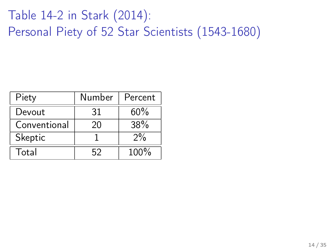## Table 14-2 in Stark (2014): Personal Piety of 52 Star Scientists (1543-1680)

| Piety        | Number | Percent |
|--------------|--------|---------|
| Devout       | 31     | 60%     |
| Conventional | 20     | 38%     |
| Skeptic      |        | $2\%$   |
| Total        | 52     | 100%    |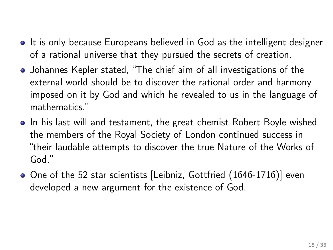- It is only because Europeans believed in God as the intelligent designer of a rational universe that they pursued the secrets of creation.
- Johannes Kepler stated, "The chief aim of all investigations of the external world should be to discover the rational order and harmony imposed on it by God and which he revealed to us in the language of mathematics."
- In his last will and testament, the great chemist Robert Boyle wished the members of the Royal Society of London continued success in "their laudable attempts to discover the true Nature of the Works of God."
- One of the 52 star scientists [Leibniz, Gottfried (1646-1716)] even developed a new argument for the existence of God.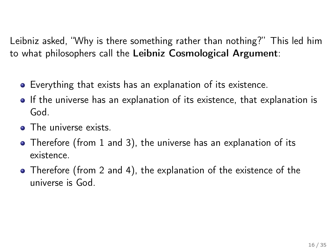Leibniz asked, "Why is there something rather than nothing?" This led him to what philosophers call the Leibniz Cosmological Argument:

- Everything that exists has an explanation of its existence.
- If the universe has an explanation of its existence, that explanation is God.
- The universe exists.
- Therefore (from 1 and 3), the universe has an explanation of its existence.
- Therefore (from 2 and 4), the explanation of the existence of the universe is God.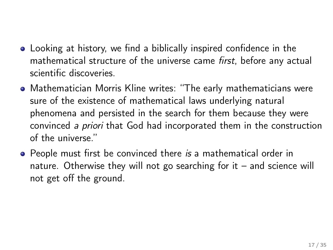- Looking at history, we find a biblically inspired confidence in the mathematical structure of the universe came *first*, before any actual scientific discoveries.
- Mathematician Morris Kline writes: "The early mathematicians were sure of the existence of mathematical laws underlying natural phenomena and persisted in the search for them because they were convinced a priori that God had incorporated them in the construction of the universe."
- People must first be convinced there is a mathematical order in nature. Otherwise they will not go searching for it – and science will not get off the ground.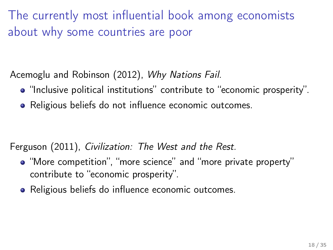The currently most influential book among economists about why some countries are poor

Acemoglu and Robinson (2012), Why Nations Fail.

- "Inclusive political institutions" contribute to "economic prosperity".
- Religious beliefs do not influence economic outcomes.

Ferguson (2011), Civilization: The West and the Rest.

- "More competition", "more science" and "more private property" contribute to "economic prosperity".
- Religious beliefs do influence economic outcomes.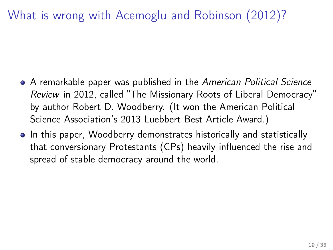What is wrong with Acemoglu and Robinson (2012)?

- A remarkable paper was published in the American Political Science Review in 2012, called "The Missionary Roots of Liberal Democracy" by author Robert D. Woodberry. (It won the American Political Science Association's 2013 Luebbert Best Article Award.)
- In this paper, Woodberry demonstrates historically and statistically that conversionary Protestants (CPs) heavily influenced the rise and spread of stable democracy around the world.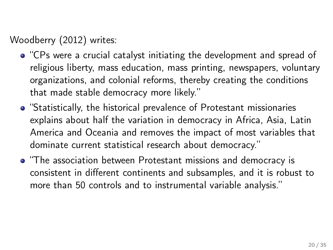Woodberry (2012) writes:

- "CPs were a crucial catalyst initiating the development and spread of religious liberty, mass education, mass printing, newspapers, voluntary organizations, and colonial reforms, thereby creating the conditions that made stable democracy more likely."
- "Statistically, the historical prevalence of Protestant missionaries explains about half the variation in democracy in Africa, Asia, Latin America and Oceania and removes the impact of most variables that dominate current statistical research about democracy."
- "The association between Protestant missions and democracy is consistent in different continents and subsamples, and it is robust to more than 50 controls and to instrumental variable analysis."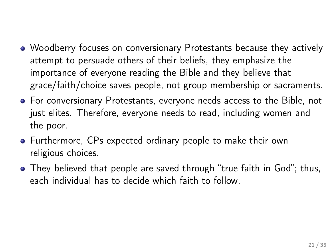- Woodberry focuses on conversionary Protestants because they actively attempt to persuade others of their beliefs, they emphasize the importance of everyone reading the Bible and they believe that grace/faith/choice saves people, not group membership or sacraments.
- For conversionary Protestants, everyone needs access to the Bible, not just elites. Therefore, everyone needs to read, including women and the poor.
- Furthermore, CPs expected ordinary people to make their own religious choices.
- They believed that people are saved through "true faith in God"; thus, each individual has to decide which faith to follow.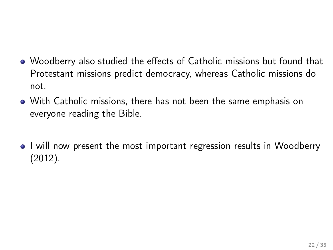- Woodberry also studied the effects of Catholic missions but found that Protestant missions predict democracy, whereas Catholic missions do not.
- With Catholic missions, there has not been the same emphasis on everyone reading the Bible.
- I will now present the most important regression results in Woodberry (2012).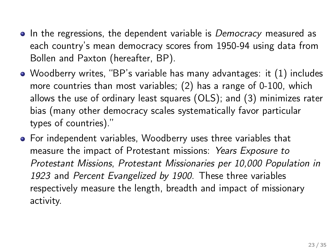- In the regressions, the dependent variable is *Democracy* measured as each country's mean democracy scores from 1950-94 using data from Bollen and Paxton (hereafter, BP).
- Woodberry writes, "BP's variable has many advantages: it (1) includes more countries than most variables; (2) has a range of 0-100, which allows the use of ordinary least squares (OLS); and (3) minimizes rater bias (many other democracy scales systematically favor particular types of countries)."
- For independent variables, Woodberry uses three variables that measure the impact of Protestant missions: Years Exposure to Protestant Missions, Protestant Missionaries per 10,000 Population in 1923 and Percent Evangelized by 1900. These three variables respectively measure the length, breadth and impact of missionary activity.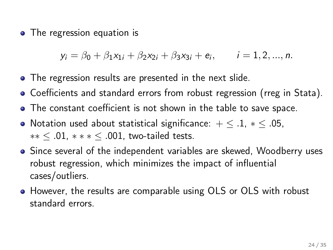• The regression equation is

 $y_i = \beta_0 + \beta_1 x_{1i} + \beta_2 x_{2i} + \beta_3 x_{3i} + e_i, \qquad i = 1, 2, ..., n.$ 

- The regression results are presented in the next slide.
- Coefficients and standard errors from robust regression (rreg in Stata).
- The constant coefficient is not shown in the table to save space.
- Notation used about statistical significance:  $+ \leq .1, * \leq .05,$ ∗∗ ≤ .01, ∗ ∗ ∗ ≤ .001, two-tailed tests.
- Since several of the independent variables are skewed, Woodberry uses robust regression, which minimizes the impact of influential cases/outliers.
- However, the results are comparable using OLS or OLS with robust standard errors.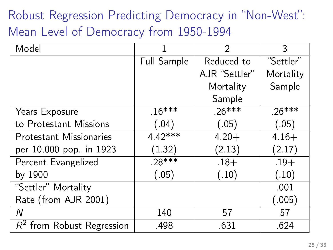Robust Regression Predicting Democracy in "Non-West": Mean Level of Democracy from 1950-1994

| Model                          |             | $\mathcal{P}$ | 3         |
|--------------------------------|-------------|---------------|-----------|
|                                | Full Sample | Reduced to    | "Settler" |
|                                |             | AJR "Settler" | Mortality |
|                                |             | Mortality     | Sample    |
|                                |             | Sample        |           |
| Years Exposure                 | $.16***$    | $.26***$      | $.26***$  |
| to Protestant Missions         | (.04)       | (.05)         | (.05)     |
| <b>Protestant Missionaries</b> | $4.42***$   | $4.20 +$      | $4.16+$   |
| per 10,000 pop. in 1923        | (1.32)      | (2.13)        | (2.17)    |
| Percent Evangelized            | $.28***$    | $.18 +$       | $.19+$    |
| by 1900                        | (.05)       | (.10)         | (.10)     |
| "Settler" Mortality            |             |               | .001      |
| Rate (from AJR 2001)           |             |               | (.005)    |
| Ν                              | 140         | 57            | 57        |
| $R^2$ from Robust Regression   | .498        | .631          | .624      |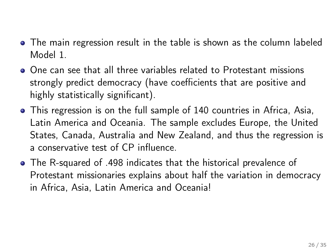- The main regression result in the table is shown as the column labeled Model 1.
- One can see that all three variables related to Protestant missions strongly predict democracy (have coefficients that are positive and highly statistically significant).
- This regression is on the full sample of 140 countries in Africa, Asia, Latin America and Oceania. The sample excludes Europe, the United States, Canada, Australia and New Zealand, and thus the regression is a conservative test of CP influence.
- The R-squared of .498 indicates that the historical prevalence of Protestant missionaries explains about half the variation in democracy in Africa, Asia, Latin America and Oceania!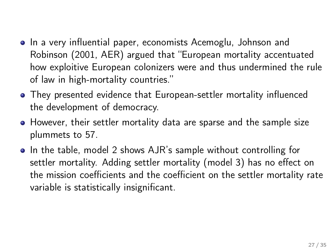- In a very influential paper, economists Acemoglu, Johnson and Robinson (2001, AER) argued that "European mortality accentuated how exploitive European colonizers were and thus undermined the rule of law in high-mortality countries."
- They presented evidence that European-settler mortality influenced the development of democracy.
- However, their settler mortality data are sparse and the sample size plummets to 57.
- In the table, model 2 shows AJR's sample without controlling for settler mortality. Adding settler mortality (model 3) has no effect on the mission coefficients and the coefficient on the settler mortality rate variable is statistically insignificant.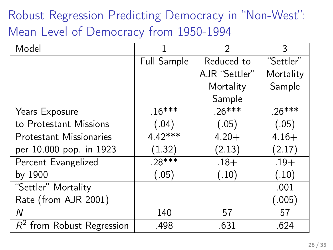Robust Regression Predicting Democracy in "Non-West": Mean Level of Democracy from 1950-1994

| Model                          |             | $\mathcal{P}$ | 3         |
|--------------------------------|-------------|---------------|-----------|
|                                | Full Sample | Reduced to    | "Settler" |
|                                |             | AJR "Settler" | Mortality |
|                                |             | Mortality     | Sample    |
|                                |             | Sample        |           |
| Years Exposure                 | $16***$     | $.26***$      | $.26***$  |
| to Protestant Missions         | (.04)       | (.05)         | (.05)     |
| <b>Protestant Missionaries</b> | $4.42***$   | $4.20 +$      | $4.16+$   |
| per 10,000 pop. in 1923        | (1.32)      | (2.13)        | (2.17)    |
| Percent Evangelized            | $.28***$    | $.18 +$       | $.19+$    |
| by 1900                        | (.05)       | (.10)         | (.10)     |
| "Settler" Mortality            |             |               | .001      |
| Rate (from AJR 2001)           |             |               | (.005)    |
| Ν                              | 140         | 57            | 57        |
| $R2$ from Robust Regression    | .498        | .631          | .624      |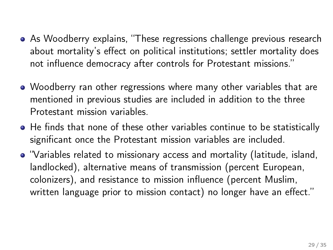- As Woodberry explains, "These regressions challenge previous research about mortality's effect on political institutions; settler mortality does not influence democracy after controls for Protestant missions."
- Woodberry ran other regressions where many other variables that are mentioned in previous studies are included in addition to the three Protestant mission variables.
- He finds that none of these other variables continue to be statistically significant once the Protestant mission variables are included.
- "Variables related to missionary access and mortality (latitude, island, landlocked), alternative means of transmission (percent European, colonizers), and resistance to mission influence (percent Muslim, written language prior to mission contact) no longer have an effect."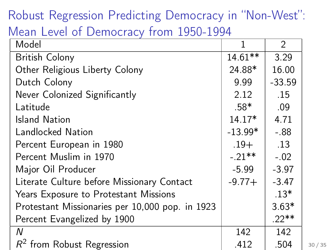## Robust Regression Predicting Democracy in "Non-West":

### Mean Level of Democracy from 1950-1994

| Model                                           | 1         | 2        |       |
|-------------------------------------------------|-----------|----------|-------|
| <b>British Colony</b>                           | $14.61**$ | 3.29     |       |
| Other Religious Liberty Colony                  | 24.88*    | 16.00    |       |
| Dutch Colony                                    | 9.99      | $-33.59$ |       |
| Never Colonized Significantly                   | 2.12      | .15      |       |
| Latitude                                        | .58*      | .09      |       |
| <b>Island Nation</b>                            | $14.17*$  | 4.71     |       |
| Landlocked Nation                               | $-13.99*$ | $-0.88$  |       |
| Percent European in 1980                        | $.19+$    | .13      |       |
| Percent Muslim in 1970                          | $-.21***$ | $-.02$   |       |
| Major Oil Producer                              | -5.99     | $-3.97$  |       |
| Literate Culture before Missionary Contact      | $-9.77+$  | $-3.47$  |       |
| Years Exposure to Protestant Missions           |           | $.13*$   |       |
| Protestant Missionaries per 10,000 pop. in 1923 |           | $3.63*$  |       |
| Percent Evangelized by 1900                     |           | $22**$   |       |
| N                                               | 142       | 142      |       |
| $R^2$ from Robust Regression                    | .412      | .504     | 30/35 |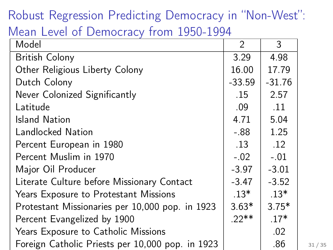# Robust Regression Predicting Democracy in "Non-West":

### Mean Level of Democracy from 1950-1994

| Model                                            | 2        | 3        |       |
|--------------------------------------------------|----------|----------|-------|
| <b>British Colony</b>                            | 3.29     | 4.98     |       |
| Other Religious Liberty Colony                   | 16.00    | 17.79    |       |
| Dutch Colony                                     | $-33.59$ | $-31.76$ |       |
| Never Colonized Significantly                    | .15      | 2.57     |       |
| Latitude                                         | .09      | .11      |       |
| <b>Island Nation</b>                             | 4.71     | 5.04     |       |
| Landlocked Nation                                | $-.88$   | 1.25     |       |
| Percent European in 1980                         | .13      | .12      |       |
| Percent Muslim in 1970                           | $-.02$   | $-.01$   |       |
| Major Oil Producer                               | $-3.97$  | $-3.01$  |       |
| Literate Culture before Missionary Contact       | $-3.47$  | $-3.52$  |       |
| Years Exposure to Protestant Missions            | .13*     | $.13*$   |       |
| Protestant Missionaries per 10,000 pop. in 1923  | $3.63*$  | $3.75*$  |       |
| Percent Evangelized by 1900                      | $22**$   | $.17*$   |       |
| Years Exposure to Catholic Missions              |          | .02      |       |
| Foreign Catholic Priests per 10,000 pop. in 1923 |          | .86      | 31/35 |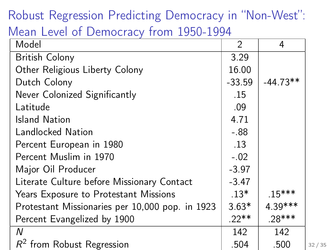## Robust Regression Predicting Democracy in "Non-West":

### Mean Level of Democracy from 1950-1994

| Model                                           | $\mathcal{P}$ | 4          |       |
|-------------------------------------------------|---------------|------------|-------|
| <b>British Colony</b>                           | 3.29          |            |       |
| Other Religious Liberty Colony                  | 16.00         |            |       |
| Dutch Colony                                    | $-33.59$      | $-44.73**$ |       |
| Never Colonized Significantly                   | .15           |            |       |
| Latitude                                        | .09           |            |       |
| <b>Island Nation</b>                            | 4.71          |            |       |
| Landlocked Nation                               | $-.88$        |            |       |
| Percent European in 1980                        | .13           |            |       |
| Percent Muslim in 1970                          | $-.02$        |            |       |
| Major Oil Producer                              | $-3.97$       |            |       |
| Literate Culture before Missionary Contact      | $-3.47$       |            |       |
| Years Exposure to Protestant Missions           | $.13*$        | $.15***$   |       |
| Protestant Missionaries per 10,000 pop. in 1923 | $3.63*$       | 4.39***    |       |
| Percent Evangelized by 1900                     | $22**$        | $.28***$   |       |
| N                                               | 142           | 142        |       |
| $R^2$ from Robust Regression                    | .504          | .500       | 32/35 |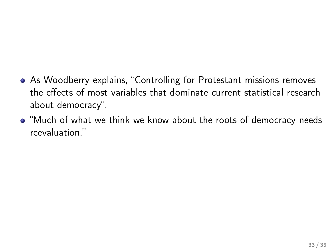- As Woodberry explains, "Controlling for Protestant missions removes the effects of most variables that dominate current statistical research about democracy".
- "Much of what we think we know about the roots of democracy needs reevaluation."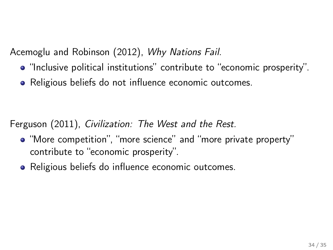Acemoglu and Robinson (2012), Why Nations Fail.

- "Inclusive political institutions" contribute to "economic prosperity".
- Religious beliefs do not influence economic outcomes.

Ferguson (2011), Civilization: The West and the Rest.

- "More competition", "more science" and "more private property" contribute to "economic prosperity".
- Religious beliefs do influence economic outcomes.